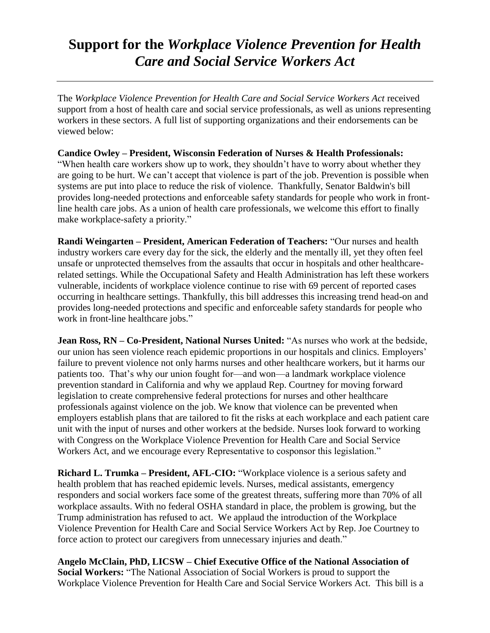## **Support for the** *Workplace Violence Prevention for Health Care and Social Service Workers Act*

The *Workplace Violence Prevention for Health Care and Social Service Workers Act* received support from a host of health care and social service professionals, as well as unions representing workers in these sectors. A full list of supporting organizations and their endorsements can be viewed below:

## **Candice Owley – President, Wisconsin Federation of Nurses & Health Professionals:**

"When health care workers show up to work, they shouldn't have to worry about whether they are going to be hurt. We can't accept that violence is part of the job. Prevention is possible when systems are put into place to reduce the risk of violence. Thankfully, Senator Baldwin's bill provides long-needed protections and enforceable safety standards for people who work in frontline health care jobs. As a union of health care professionals, we welcome this effort to finally make workplace-safety a priority."

**Randi Weingarten – President, American Federation of Teachers:** "Our nurses and health industry workers care every day for the sick, the elderly and the mentally ill, yet they often feel unsafe or unprotected themselves from the assaults that occur in hospitals and other healthcarerelated settings. While the Occupational Safety and Health Administration has left these workers vulnerable, incidents of workplace violence continue to rise with 69 percent of reported cases occurring in healthcare settings. Thankfully, this bill addresses this increasing trend head-on and provides long-needed protections and specific and enforceable safety standards for people who work in front-line healthcare jobs."

**Jean Ross, RN – Co-President, National Nurses United:** "As nurses who work at the bedside, our union has seen violence reach epidemic proportions in our hospitals and clinics. Employers' failure to prevent violence not only harms nurses and other healthcare workers, but it harms our patients too. That's why our union fought for—and won—a landmark workplace violence prevention standard in California and why we applaud Rep. Courtney for moving forward legislation to create comprehensive federal protections for nurses and other healthcare professionals against violence on the job. We know that violence can be prevented when employers establish plans that are tailored to fit the risks at each workplace and each patient care unit with the input of nurses and other workers at the bedside. Nurses look forward to working with Congress on the Workplace Violence Prevention for Health Care and Social Service Workers Act, and we encourage every Representative to cosponsor this legislation."

**Richard L. Trumka – President, AFL-CIO:** "Workplace violence is a serious safety and health problem that has reached epidemic levels. Nurses, medical assistants, emergency responders and social workers face some of the greatest threats, suffering more than 70% of all workplace assaults. With no federal OSHA standard in place, the problem is growing, but the Trump administration has refused to act. We applaud the introduction of the Workplace Violence Prevention for Health Care and Social Service Workers Act by Rep. Joe Courtney to force action to protect our caregivers from unnecessary injuries and death."

**Angelo McClain, PhD, LICSW – Chief Executive Office of the National Association of Social Workers:** "The National Association of Social Workers is proud to support the Workplace Violence Prevention for Health Care and Social Service Workers Act. This bill is a